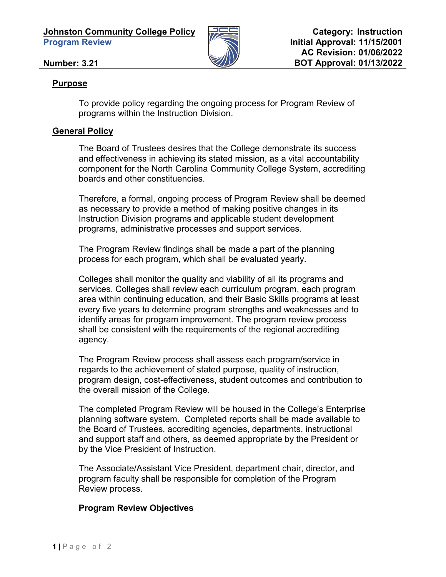

## **Number: 3.21**

## **Purpose**

To provide policy regarding the ongoing process for Program Review of programs within the Instruction Division.

## **General Policy**

The Board of Trustees desires that the College demonstrate its success and effectiveness in achieving its stated mission, as a vital accountability component for the North Carolina Community College System, accrediting boards and other constituencies.

Therefore, a formal, ongoing process of Program Review shall be deemed as necessary to provide a method of making positive changes in its Instruction Division programs and applicable student development programs, administrative processes and support services.

The Program Review findings shall be made a part of the planning process for each program, which shall be evaluated yearly.

Colleges shall monitor the quality and viability of all its programs and services. Colleges shall review each curriculum program, each program area within continuing education, and their Basic Skills programs at least every five years to determine program strengths and weaknesses and to identify areas for program improvement. The program review process shall be consistent with the requirements of the regional accrediting agency.

The Program Review process shall assess each program/service in regards to the achievement of stated purpose, quality of instruction, program design, cost-effectiveness, student outcomes and contribution to the overall mission of the College.

The completed Program Review will be housed in the College's Enterprise planning software system. Completed reports shall be made available to the Board of Trustees, accrediting agencies, departments, instructional and support staff and others, as deemed appropriate by the President or by the Vice President of Instruction.

The Associate/Assistant Vice President, department chair, director, and program faculty shall be responsible for completion of the Program Review process.

## **Program Review Objectives**